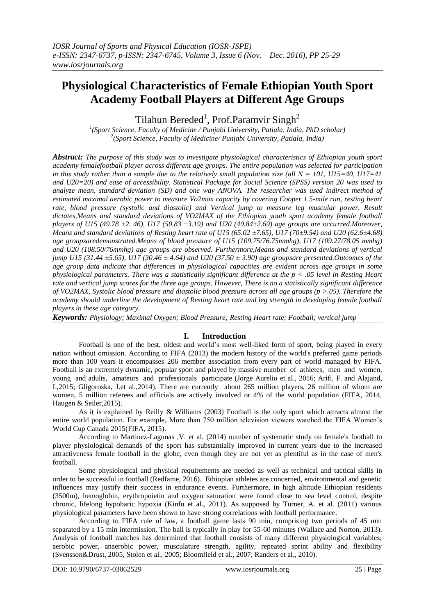# **Physiological Characteristics of Female Ethiopian Youth Sport Academy Football Players at Different Age Groups**

Tilahun Bereded<sup>1</sup>, Prof.Paramvir Singh<sup>2</sup>

<sup>1</sup>(Sport Science, Faculty of Medicine / Punjabi University, Patiala, India, PhD scholar) *2 (Sport Science, Faculty of Medicine/ Punjabi University, Patiala, India)* 

*Abstract: The purpose of this study was to investigate physiological characteristics of Ethiopian youth sport academy femalefootball player across different age groups. The entire population was selected for participation in this study rather than a sample due to the relatively small population size (all N = 101, U15=40, U17=41 and U20=20) and ease of accessibility. Statistical Package for Social Science (SPSS) version 20 was used to analyze mean, standard deviation (SD) and one way ANOVA. The researcher was used indirect method of estimated maximal aerobic power to measure Vo2max capacity by covering Cooper 1.5-mile run, resting heart rate, blood pressure (systolic and diastolic) and Vertical jump to measure leg muscular power. Result dictates,Means and standard deviations of VO2MAX of the Ethiopian youth sport academy female football players of U15 (49.78 ±2. 46), U17 (50.83 ±3.19) and U20 (49.84±2.69) age groups are occurred.Moreover, Means and standard deviations of Resting heart rate of U15 (65.02 ±7.65), U17 (70±9.54) and U20 (62.6±4.68) age groupsaredemonstrated.Means of blood pressure of U15 (109.75/76.75mmhg), U17 (109.27/78.05 mmhg) and U20 (108.50/76mmhg) age groups are observed. Furthermore,Means and standard deviations of vertical jump U15 (31.44 ±5.65), U17 (30.46 ± 4.64) and U20 (37.50 ± 3.90) age groupsare presented.Outcomes of the age group data indicate that differences in physiological capacities are evident across age groups in some physiological parameters. There was a statistically significant difference at the p < .05 level in Resting Heart rate and vertical jump scores for the three age groups. However, There is no a statistically significant difference of VO2MAX, Systolic blood pressure and diastolic blood pressure across all age groups (p >.05). Therefore the academy should underline the development of Resting heart rate and leg strength in developing female football players in these age category.*

*Keywords: Physiology; Maximal Oxygen; Blood Pressure; Resting Heart rate; Football; vertical jump* 

# **I. Introduction**

Football is one of the best, oldest and world's most well-liked form of sport, being played in every nation without omission. According to FIFA (2013) the modern history of the world's preferred game periods more than 100 years it encompasses 206 member association from every part of world managed by FIFA. Football is an extremely dynamic, popular sport and played by massive number of athletes, men and women, young and adults, amateurs and professionals participate (Jorge Aurelio et al., 2016; Arifi, F. and Alajand, I.,2015; Gligoroska, J.et al.,2014). There are currently about 265 million players, 26 million of whom are women, 5 million referees and officials are actively involved or 4% of the world population (FIFA, 2014, Haugen & Seiler,2015).

As it is explained by Reilly & Williams (2003) Football is the only sport which attracts almost the entire world population. For example, More than 750 million television viewers watched the FIFA Women's World Cup Canada 2015(FIFA, 2015).

According to Martinez-Lagunas ,V. et al. (2014) number of systematic study on female's football to player physiological demands of the sport has substantially improved in current years due to the increased attractiveness female football in the globe, even though they are not yet as plentiful as in the case of men's football.

Some physiological and physical requirements are needed as well as technical and tactical skills in order to be successful in football (Redfame, 2016). Ethiopian athletes are concerned, environmental and genetic influences may justify their success in endurance events. Furthermore, in high altitude Ethiopian residents (3500m), hemoglobin, erythropoietin and oxygen saturation were found close to sea level control, despite chronic, lifelong hypobaric hypoxia (Kinfu et al., 2011). As supposed by Turner, A. et al. (2011) various physiological parameters have been shown to have strong correlations with football performance.

According to FIFA rule of law, a football game lasts 90 min, comprising two periods of 45 min separated by a 15 min intermission. The ball is typically in play for 55-60 minutes (Wallace and Norton, 2013). Analysis of football matches has determined that football consists of many different physiological variables; aerobic power, anaerobic power, musculature strength, agility, repeated sprint ability and flexibility (Svensson&Drust, 2005, Stolen et al., 2005; Bloomfield et al., 2007; Randers et al., 2010).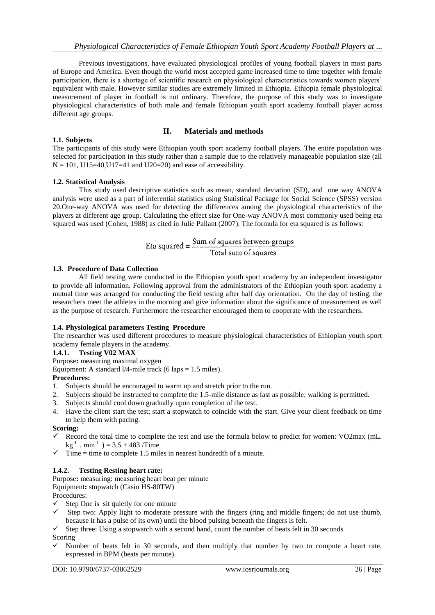Previous investigations, have evaluated physiological profiles of young football players in most parts of Europe and America. Even though the world most accepted game increased time to time together with female participation, there is a shortage of scientific research on physiological characteristics towards women players' equivalent with male. However similar studies are extremely limited in Ethiopia. Ethiopia female physiological measurement of player in football is not ordinary. Therefore, the purpose of this study was to investigate physiological characteristics of both male and female Ethiopian youth sport academy football player across different age groups.

## **II. Materials and methods**

#### **1.1. Subjects**  The participants of this study were Ethiopian youth sport academy football players. The entire population was selected for participation in this study rather than a sample due to the relatively manageable population size (all  $N = 101$ ,  $U15=40$ ,  $U17=41$  and  $U20=20$ ) and ease of accessibility.

## **1.2. Statistical Analysis**

This study used descriptive statistics such as mean, standard deviation (SD), and one way ANOVA analysis were used as a part of inferential statistics using Statistical Package for Social Science (SPSS) version 20.One-way ANOVA was used for detecting the differences among the physiological characteristics of the players at different age group. Calculating the effect size for One-way ANOVA most commonly used being eta squared was used (Cohen, 1988) as cited in Julie Pallant (2007). The formula for eta squared is as follows:

$$
Et a squared = \frac{Sum of squares between-groups}{Total sum of squares}
$$

#### **1.3. Procedure of Data Collection**

All field testing were conducted in the Ethiopian youth sport academy by an independent investigator to provide all information. Following approval from the administrators of the Ethiopian youth sport academy a mutual time was arranged for conducting the field testing after half day orientation. On the day of testing, the researchers meet the athletes in the morning and give information about the significance of measurement as well as the purpose of research. Furthermore the researcher encouraged them to cooperate with the researchers.

#### **1.4. Physiological parameters Testing Procedure**

The researcher was used different procedures to measure physiological characteristics of Ethiopian youth sport academy female players in the academy.

## **1.4.1. Testing V02 MAX**

Purpose**:** measuring maximal oxygen

Equipment: A standard  $1/4$ -mile track (6 laps = 1.5 miles).

## **Procedures:**

- 1. Subjects should be encouraged to warm up and stretch prior to the run.
- 2. Subjects should be instructed to complete the 1.5-mile distance as fast as possible; walking is permitted.
- 3. Subjects should cool down gradually upon completion of the test.
- 4. Have the client start the test; start a stopwatch to coincide with the start. Give your client feedback on time to help them with pacing.

#### **Scoring:**

- Record the total time to complete the test and use the formula below to predict for women: VO2max (mL.  $kg^{-1}$ . min<sup>-1</sup>) = 3.5 + 483 /Time
- $\checkmark$  Time = time to complete 1.5 miles in nearest hundredth of a minute.

#### **1.4.2. Testing Resting heart rate:**

Purpose**:** measuring: measuring heart beat per minute

Equipment**:** stopwatch (Casio HS-80TW)

Procedures:

- $\checkmark$  Step One is sit quietly for one minute  $\checkmark$  Step two: Apply light to moderate m
- Step two: Apply light to moderate pressure with the fingers (ring and middle fingers; do not use thumb, because it has a pulse of its own) until the blood pulsing beneath the fingers is felt.
- $\checkmark$  Step three: Using a stopwatch with a second hand, count the number of beats felt in 30 seconds

Scoring

 Number of beats felt in 30 seconds, and then multiply that number by two to compute a heart rate, expressed in BPM (beats per minute).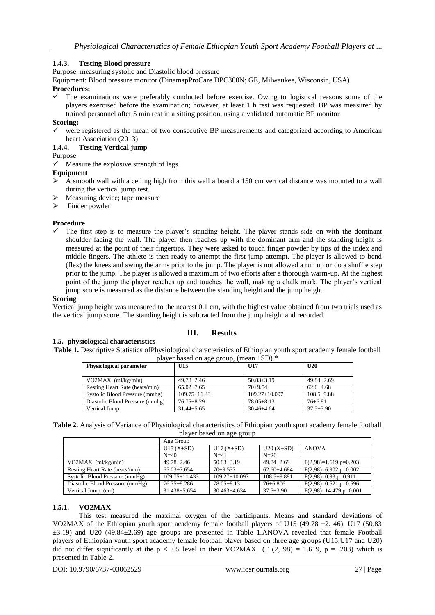# **1.4.3. Testing Blood pressure**

Purpose: measuring systolic and Diastolic blood pressure

Equipment: Blood pressure monitor (DinamapProCare DPC300N; GE, Milwaukee, Wisconsin, USA) **Procedures:**

 The examinations were preferably conducted before exercise. Owing to logistical reasons some of the players exercised before the examination; however, at least 1 h rest was requested. BP was measured by trained personnel after 5 min rest in a sitting position, using a validated automatic BP monitor

## **Scoring:**

 were registered as the mean of two consecutive BP measurements and categorized according to American heart Association (2013)

## **1.4.4. Testing Vertical jump**

Purpose

 $\checkmark$  Measure the explosive strength of legs.

- **Equipment**
- $\triangleright$  A smooth wall with a ceiling high from this wall a board a 150 cm vertical distance was mounted to a wall during the vertical jump test.
- Measuring device; tape measure
- $\triangleright$  Finder powder

## **Procedure**

 $\checkmark$  The first step is to measure the player's standing height. The player stands side on with the dominant shoulder facing the wall. The player then reaches up with the dominant arm and the standing height is measured at the point of their fingertips. They were asked to touch finger powder by tips of the index and middle fingers. The athlete is then ready to attempt the first jump attempt. The player is allowed to bend (flex) the knees and swing the arms prior to the jump. The player is not allowed a run up or do a shuffle step prior to the jump. The player is allowed a maximum of two efforts after a thorough warm-up. At the highest point of the jump the player reaches up and touches the wall, making a chalk mark. The player's vertical jump score is measured as the distance between the standing height and the jump height.

#### **Scoring**

Vertical jump height was measured to the nearest 0.1 cm, with the highest value obtained from two trials used as the vertical jump score. The standing height is subtracted from the jump height and recorded.

# **III. Results**

**1.5. physiological characteristics Table 1.** Descriptive Statistics ofPhysiological characteristics of Ethiopian youth sport academy female football player based on age group, (mean ±SD).\*

| <b>Physiological parameter</b>  | U <sub>15</sub>  | U17                 | U20              |
|---------------------------------|------------------|---------------------|------------------|
|                                 |                  |                     |                  |
| $VO2MAX$ (ml/kg/min)            | $49.78 + 2.46$   | $50.83 \pm 3.19$    | $49.84 \pm 2.69$ |
| Resting Heart Rate (beats/min)  | $65.02 + 7.65$   | $70+9.54$           | $62.6 \pm 4.68$  |
| Systolic Blood Pressure (mmhg)  | $109.75 + 11.43$ | $109.27 \pm 10.097$ | $108.5+9.88$     |
| Diastolic Blood Pressure (mmhg) | $76.75 + 8.29$   | $78.05 \pm 8.13$    | $76+6.81$        |
| Vertical Jump                   | $31.44 + 5.65$   | $30.46 + 4.64$      | $37.5 + 3.90$    |

**Table 2.** Analysis of Variance of Physiological characteristics of Ethiopian youth sport academy female football player based on age group

|                                 | Age Group          |                   |                  |                             |  |
|---------------------------------|--------------------|-------------------|------------------|-----------------------------|--|
|                                 | U15 $(X\pm SD)$    | U17 $(X\pm SD)$   | $U20 (X \pm SD)$ | <b>ANOVA</b>                |  |
|                                 | $N=40$             | $N=41$            | $N=20$           |                             |  |
| VO2MAX $(ml/kg/min)$            | $49.78 + 2.46$     | $50.83 + 3.19$    | $49.84 + 2.69$   | $F(2,98)=1.619$ , p=0.203   |  |
| Resting Heart Rate (beats/min)  | $65.03+7.654$      | $70+9.537$        | $62.60 + 4.684$  | $F(2,98)=6.902$ , $p=0.002$ |  |
| Systolic Blood Pressure (mmHg)  | $109.75 + 11.433$  | $109.27 + 10.097$ | $108.5 + 9.881$  | $F(2,98)=0.93$ , $p=0.911$  |  |
| Diastolic Blood Pressure (mmHg) | $76.75 + 8.286$    | $78.05 + 8.13$    | $76+6.806$       | $F(2,98)=0.521$ , p=0.596   |  |
| Vertical Jump (cm)              | $31.438 \pm 5.654$ | $30.463 + 4.634$  | $37.5 + 3.90$    | $F(2,98)=14.479$ , p=0.001  |  |

#### **1.5.1. VO2MAX**

This test measured the maximal oxygen of the participants. Means and standard deviations of VO2MAX of the Ethiopian youth sport academy female football players of U15 (49.78 ±2. 46), U17 (50.83 ±3.19) and U20 (49.84±2.69) age groups are presented in Table 1.ANOVA revealed that female Football players of Ethiopian youth sport academy female football player based on three age groups (U15,U17 and U20) did not differ significantly at the  $p < .05$  level in their VO2MAX (F (2, 98) = 1.619,  $p = .203$ ) which is presented in Table 2.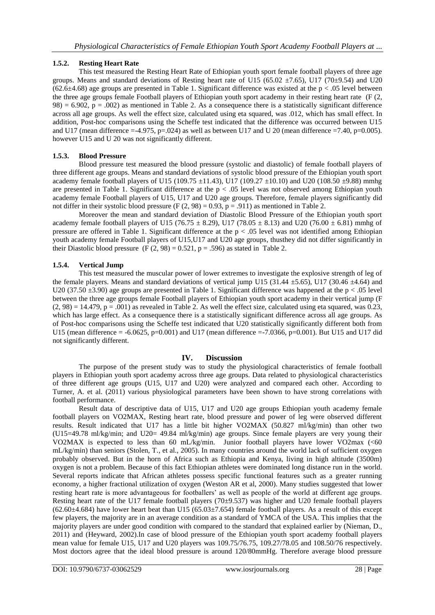# **1.5.2. Resting Heart Rate**

This test measured the Resting Heart Rate of Ethiopian youth sport female football players of three age groups. Means and standard deviations of Resting heart rate of U15 (65.02  $\pm$ 7.65), U17 (70 $\pm$ 9.54) and U20 (62.6 $\pm$ 4.68) age groups are presented in Table 1. Significant difference was existed at the p < .05 level between the three age groups female Football players of Ethiopian youth sport academy in their resting heart rate (F (2,  $98$ ) = 6.902, p = .002) as mentioned in Table 2. As a consequence there is a statistically significant difference across all age groups. As well the effect size, calculated using eta squared, was .012, which has small effect. In addition, Post-hoc comparisons using the Scheffe test indicated that the difference was occurred between U15 and U17 (mean difference =-4.975, p=.024) as well as between U17 and U 20 (mean difference =7.40, p=0.005). however U15 and U 20 was not significantly different.

# **1.5.3. Blood Pressure**

Blood pressure test measured the blood pressure (systolic and diastolic) of female football players of three different age groups. Means and standard deviations of systolic blood pressure of the Ethiopian youth sport academy female football players of U15 (109.75  $\pm$ 11.43), U17 (109.27  $\pm$ 10.10) and U20 (108.50  $\pm$ 9.88) mmhg are presented in Table 1. Significant difference at the  $p < .05$  level was not observed among Ethiopian youth academy female Football players of U15, U17 and U20 age groups. Therefore, female players significantly did not differ in their systolic blood pressure (F  $(2, 98) = 0.93$ , p = .911) as mentioned in Table 2.

Moreover the mean and standard deviation of Diastolic Blood Pressure of the Ethiopian youth sport academy female football players of U15 (76.75  $\pm$  8.29), U17 (78.05  $\pm$  8.13) and U20 (76.00  $\pm$  6.81) mmhg of pressure are offered in Table 1. Significant difference at the  $p < .05$  level was not identified among Ethiopian youth academy female Football players of U15,U17 and U20 age groups, thusthey did not differ significantly in their Diastolic blood pressure  $(F (2, 98) = 0.521, p = .596)$  as stated in Table 2.

# **1.5.4. Vertical Jump**

This test measured the muscular power of lower extremes to investigate the explosive strength of leg of the female players. Means and standard deviations of vertical jump U15 (31.44  $\pm$ 5.65), U17 (30.46  $\pm$ 4.64) and U20 (37.50  $\pm$ 3.90) age groups are presented in Table 1. Significant difference was happened at the p < .05 level between the three age groups female Football players of Ethiopian youth sport academy in their vertical jump (F  $(2, 98) = 14.479$ ,  $p = .001$ ) as revealed in Table 2. As well the effect size, calculated using eta squared, was 0.23, which has large effect. As a consequence there is a statistically significant difference across all age groups. As of Post-hoc comparisons using the Scheffe test indicated that U20 statistically significantly different both from U15 (mean difference  $= -6.0625$ , p=0.001) and U17 (mean difference  $= -7.0366$ , p=0.001). But U15 and U17 did not significantly different.

# **IV. Discussion**

The purpose of the present study was to study the physiological characteristics of female football players in Ethiopian youth sport academy across three age groups. Data related to physiological characteristics of three different age groups (U15, U17 and U20) were analyzed and compared each other. According to Turner, A. et al. (2011) various physiological parameters have been shown to have strong correlations with football performance.

Result data of descriptive data of U15, U17 and U20 age groups Ethiopian youth academy female football players on VO2MAX, Resting heart rate, blood pressure and power of leg were observed different results. Result indicated that U17 has a little bit higher VO2MAX (50.827 ml/kg/min) than other two (U15=49.78 ml/kg/min; and U20= 49.84 ml/kg/min) age groups. Since female players are very young their VO2MAX is expected to less than 60 mL/kg/min. Junior football players have lower VO2max (<60 mL/kg/min) than seniors (Stolen, T., et al., 2005). In many countries around the world lack of sufficient oxygen probably observed. But in the horn of Africa such as Ethiopia and Kenya, living in high altitude (3500m) oxygen is not a problem. Because of this fact Ethiopian athletes were dominated long distance run in the world. Several reports indicate that African athletes possess specific functional features such as a greater running economy, a higher fractional utilization of oxygen (Weston AR et al, 2000). Many studies suggested that lower resting heart rate is more advantageous for footballers' as well as people of the world at different age groups. Resting heart rate of the U17 female football players (70±9.537) was higher and U20 female football players  $(62.60\pm4.684)$  have lower heart beat than U15  $(65.03\pm7.654)$  female football players. As a result of this except few players, the majority are in an average condition as a standard of YMCA of the USA. This implies that the majority players are under good condition with compared to the standard that explained earlier by (Nieman, D., 2011) and (Heyward, 2002).In case of blood pressure of the Ethiopian youth sport academy football players mean value for female U15, U17 and U20 players was 109.75/76.75, 109.27/78.05 and 108.50/76 respectively. Most doctors agree that the ideal blood pressure is around 120/80mmHg. Therefore average blood pressure